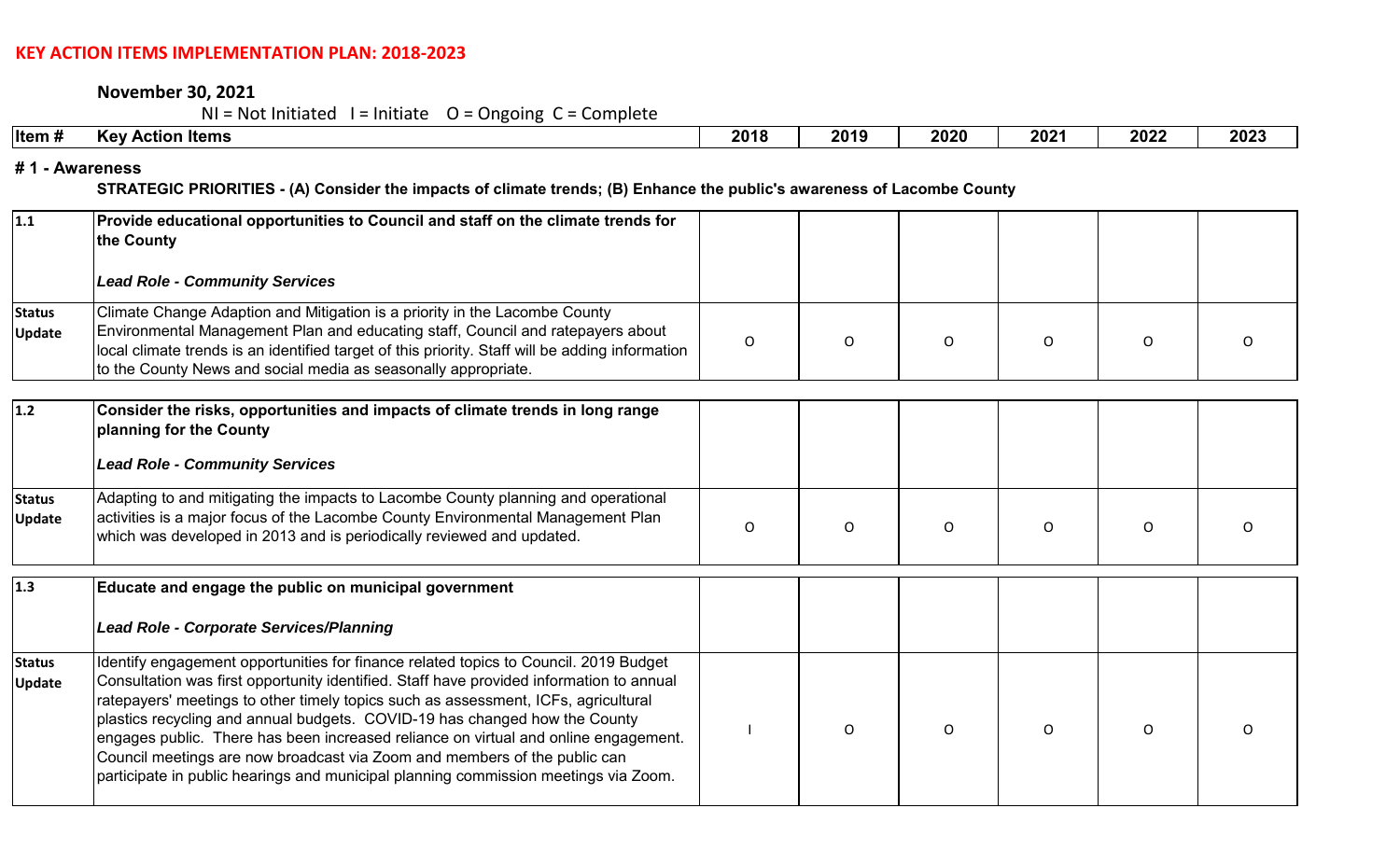#### **KEY ACTION ITEMS IMPLEMENTATION PLAN: 2018‐2023**

**November 30, 2021**

 $NI = Not Initialed I = Initiative O = Ongoing C = Complete$ 

| ltem # | ı Items<br><b>Kev</b><br><b>Action</b> | 2018 | 2019 | 2020 | 2021 | 2022 | 2023 |  |
|--------|----------------------------------------|------|------|------|------|------|------|--|
|        |                                        |      |      |      |      |      |      |  |

#### **# 1 - Awareness**

**STRATEGIC PRIORITIES - (A) Consider the impacts of climate trends; (B) Enhance the public's awareness of Lacombe County** 

| $\vert$ 1.1                    | Provide educational opportunities to Council and staff on the climate trends for<br>the County                                                                                                                                                                                                                                                                                                                                                                                                                                                                                                                  |                |              |          |          |          |  |
|--------------------------------|-----------------------------------------------------------------------------------------------------------------------------------------------------------------------------------------------------------------------------------------------------------------------------------------------------------------------------------------------------------------------------------------------------------------------------------------------------------------------------------------------------------------------------------------------------------------------------------------------------------------|----------------|--------------|----------|----------|----------|--|
|                                | <b>Lead Role - Community Services</b>                                                                                                                                                                                                                                                                                                                                                                                                                                                                                                                                                                           |                |              |          |          |          |  |
| <b>Status</b><br><b>Update</b> | Climate Change Adaption and Mitigation is a priority in the Lacombe County<br>Environmental Management Plan and educating staff, Council and ratepayers about<br>local climate trends is an identified target of this priority. Staff will be adding information<br>to the County News and social media as seasonally appropriate.                                                                                                                                                                                                                                                                              | $\mathsf{O}$   | $\Omega$     | O        | O        | O        |  |
| $1.2$                          | Consider the risks, opportunities and impacts of climate trends in long range<br>planning for the County<br><b>Lead Role - Community Services</b>                                                                                                                                                                                                                                                                                                                                                                                                                                                               |                |              |          |          |          |  |
| <b>Status</b><br><b>Update</b> | Adapting to and mitigating the impacts to Lacombe County planning and operational<br>activities is a major focus of the Lacombe County Environmental Management Plan<br>which was developed in 2013 and is periodically reviewed and updated.                                                                                                                                                                                                                                                                                                                                                                   | $\overline{O}$ | $\mathsf{O}$ | $\circ$  | O        | 0        |  |
| 1.3                            | Educate and engage the public on municipal government<br><b>Lead Role - Corporate Services/Planning</b>                                                                                                                                                                                                                                                                                                                                                                                                                                                                                                         |                |              |          |          |          |  |
| <b>Status</b><br><b>Update</b> | Identify engagement opportunities for finance related topics to Council. 2019 Budget<br>Consultation was first opportunity identified. Staff have provided information to annual<br>ratepayers' meetings to other timely topics such as assessment, ICFs, agricultural<br>plastics recycling and annual budgets. COVID-19 has changed how the County<br>engages public. There has been increased reliance on virtual and online engagement.<br>Council meetings are now broadcast via Zoom and members of the public can<br>participate in public hearings and municipal planning commission meetings via Zoom. |                | $\Omega$     | $\Omega$ | $\Omega$ | $\Omega$ |  |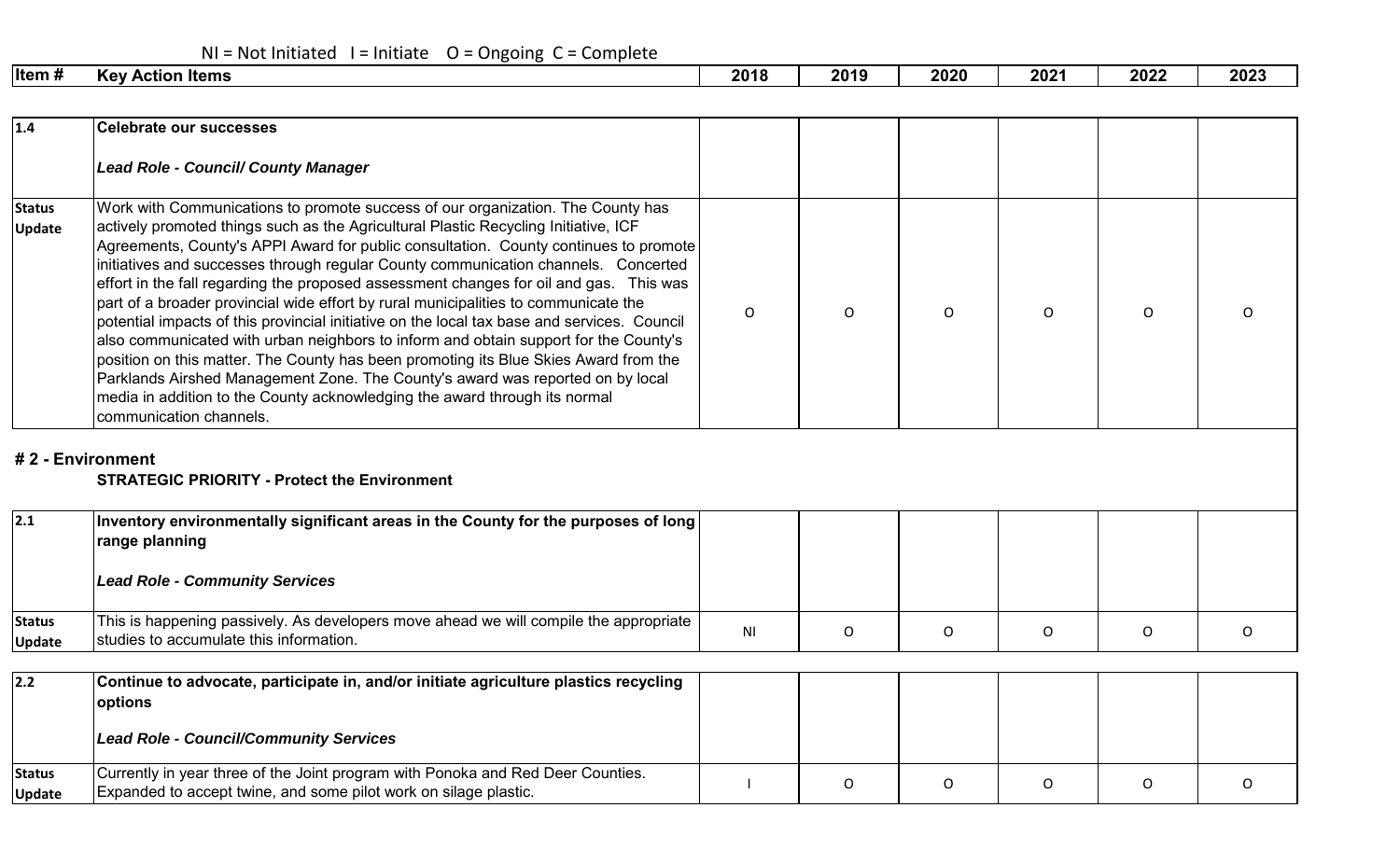## $N = Not Initialed 1 = Initiative 0 = Ongoing C = Complete$

**Update**

| Item # | <b>Kev</b><br>ltems<br>' Action | 2018 | 2019 | 2020 | 2021 | 2022 | 2023 |
|--------|---------------------------------|------|------|------|------|------|------|
|        |                                 |      |      |      |      |      |      |

| 1.4                            | <b>Celebrate our successes</b>                                                                                                                                                                                                                                                                                                                                                                                                                                                                                                                                                                                                                                                                                                                                                                                                                                                                                                                                                                                  |                |          |              |              |          |          |
|--------------------------------|-----------------------------------------------------------------------------------------------------------------------------------------------------------------------------------------------------------------------------------------------------------------------------------------------------------------------------------------------------------------------------------------------------------------------------------------------------------------------------------------------------------------------------------------------------------------------------------------------------------------------------------------------------------------------------------------------------------------------------------------------------------------------------------------------------------------------------------------------------------------------------------------------------------------------------------------------------------------------------------------------------------------|----------------|----------|--------------|--------------|----------|----------|
|                                | <b>Lead Role - Council/ County Manager</b>                                                                                                                                                                                                                                                                                                                                                                                                                                                                                                                                                                                                                                                                                                                                                                                                                                                                                                                                                                      |                |          |              |              |          |          |
| <b>Status</b><br><b>Update</b> | Work with Communications to promote success of our organization. The County has<br>actively promoted things such as the Agricultural Plastic Recycling Initiative, ICF<br>Agreements, County's APPI Award for public consultation. County continues to promote<br>initiatives and successes through regular County communication channels. Concerted<br>effort in the fall regarding the proposed assessment changes for oil and gas. This was<br>part of a broader provincial wide effort by rural municipalities to communicate the<br>potential impacts of this provincial initiative on the local tax base and services. Council<br>also communicated with urban neighbors to inform and obtain support for the County's<br>position on this matter. The County has been promoting its Blue Skies Award from the<br>Parklands Airshed Management Zone. The County's award was reported on by local<br>media in addition to the County acknowledging the award through its normal<br>communication channels. | $\Omega$       | $\Omega$ | $\mathsf{O}$ | $\mathsf{O}$ | $\Omega$ | $\Omega$ |
|                                | #2 - Environment<br><b>STRATEGIC PRIORITY - Protect the Environment</b>                                                                                                                                                                                                                                                                                                                                                                                                                                                                                                                                                                                                                                                                                                                                                                                                                                                                                                                                         |                |          |              |              |          |          |
| 2.1                            | Inventory environmentally significant areas in the County for the purposes of long<br>range planning<br><b>Lead Role - Community Services</b>                                                                                                                                                                                                                                                                                                                                                                                                                                                                                                                                                                                                                                                                                                                                                                                                                                                                   |                |          |              |              |          |          |
| <b>Status</b><br><b>Update</b> | This is happening passively. As developers move ahead we will compile the appropriate<br>studies to accumulate this information.                                                                                                                                                                                                                                                                                                                                                                                                                                                                                                                                                                                                                                                                                                                                                                                                                                                                                | N <sub>l</sub> | O        | $\mathsf O$  | O            | 0        | O        |
| 2.2                            | Continue to advocate, participate in, and/or initiate agriculture plastics recycling<br>options                                                                                                                                                                                                                                                                                                                                                                                                                                                                                                                                                                                                                                                                                                                                                                                                                                                                                                                 |                |          |              |              |          |          |
|                                | <b>Lead Role - Council/Community Services</b>                                                                                                                                                                                                                                                                                                                                                                                                                                                                                                                                                                                                                                                                                                                                                                                                                                                                                                                                                                   |                |          |              |              |          |          |
| <b>Status</b>                  | Currently in year three of the Joint program with Ponoka and Red Deer Counties.                                                                                                                                                                                                                                                                                                                                                                                                                                                                                                                                                                                                                                                                                                                                                                                                                                                                                                                                 |                |          |              |              |          |          |

Expanded to accept twine, and some pilot work on silage plastic.<br>Expanded to accept twine, and some pilot work on silage plastic.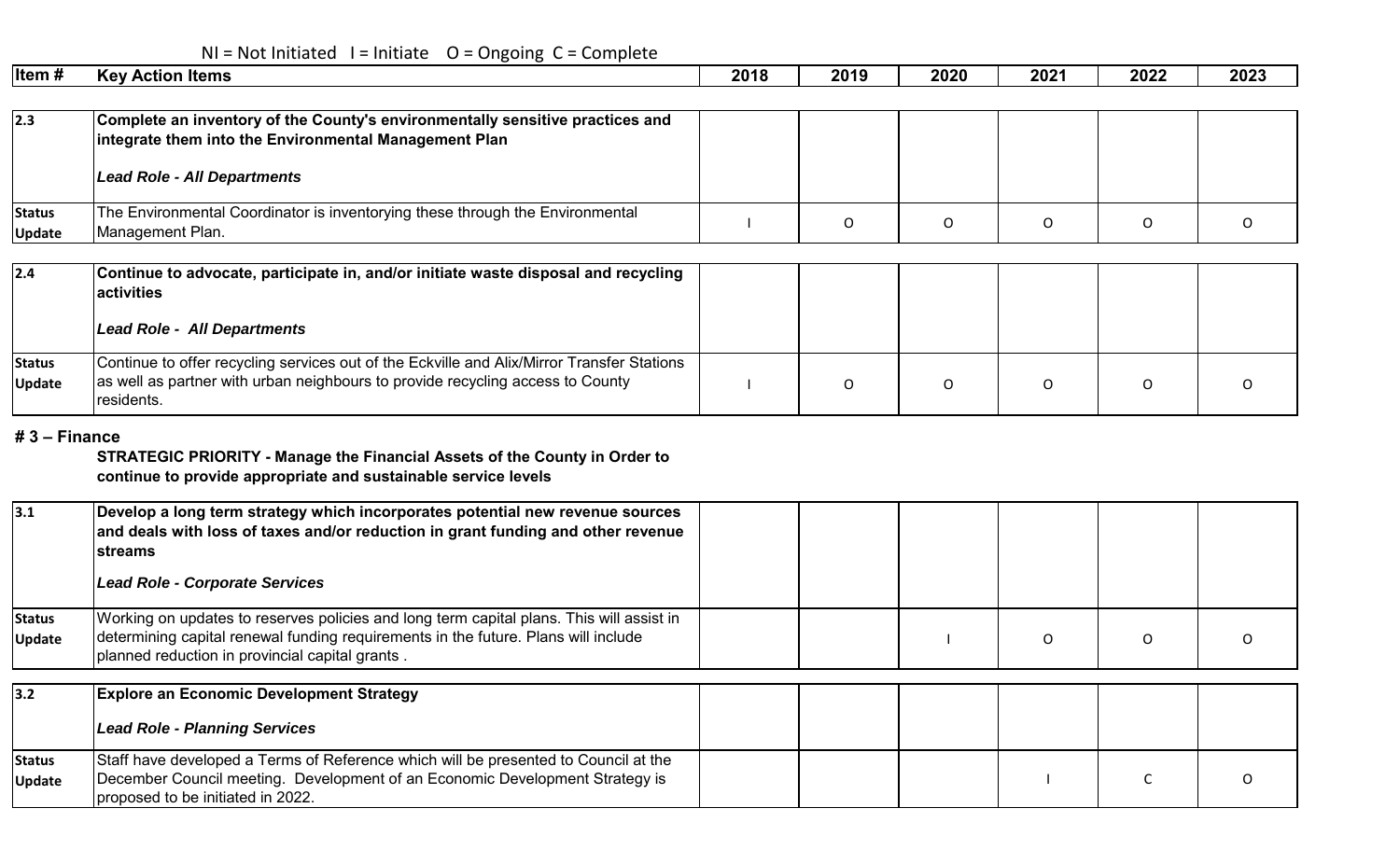## $NI = Not Initialed I = Initiative O = Ongoing C = Complete$

| ∣ltem #                 | <b>Key Action Items</b>                                                                                                                | 2018 | 2019     | 2020 | 2021 | 2022 | 2023 |
|-------------------------|----------------------------------------------------------------------------------------------------------------------------------------|------|----------|------|------|------|------|
|                         |                                                                                                                                        |      |          |      |      |      |      |
| 2.3                     | Complete an inventory of the County's environmentally sensitive practices and<br>integrate them into the Environmental Management Plan |      |          |      |      |      |      |
|                         | Lead Role - All Departments                                                                                                            |      |          |      |      |      |      |
| <b>Status</b><br>Update | The Environmental Coordinator is inventorying these through the Environmental<br>Management Plan.                                      |      | $\Omega$ | O    | O    |      | O    |
|                         |                                                                                                                                        |      |          |      |      |      |      |
| 2.4                     | Continue to advocate, participate in, and/or initiate waste disposal and recycling<br><b>activities</b>                                |      |          |      |      |      |      |
|                         | Lead Role - All Departments                                                                                                            |      |          |      |      |      |      |
| <b>Status</b>           | Continue to offer recycling services out of the Eckville and Alix/Mirror Transfer Stations                                             |      |          |      |      |      |      |
| <b>Update</b>           | as well as partner with urban neighbours to provide recycling access to County                                                         |      |          |      | O    |      |      |

#### **# 3 – Finance**

residents.

**STRATEGIC PRIORITY - Manage the Financial Assets of the County in Order to continue to provide appropriate and sustainable service levels**

| 3.1                            | Develop a long term strategy which incorporates potential new revenue sources<br>and deals with loss of taxes and/or reduction in grant funding and other revenue<br><b>lstreams</b><br><b>Lead Role - Corporate Services</b>     |  |   |  |
|--------------------------------|-----------------------------------------------------------------------------------------------------------------------------------------------------------------------------------------------------------------------------------|--|---|--|
| <b>Status</b><br><b>Update</b> | Working on updates to reserves policies and long term capital plans. This will assist in<br>determining capital renewal funding requirements in the future. Plans will include<br>planned reduction in provincial capital grants. |  | O |  |
| 3.2                            | <b>Explore an Economic Development Strategy</b><br><b>Lead Role - Planning Services</b>                                                                                                                                           |  |   |  |
| <b>Status</b><br><b>Update</b> | Staff have developed a Terms of Reference which will be presented to Council at the<br>December Council meeting. Development of an Economic Development Strategy is<br>proposed to be initiated in 2022.                          |  |   |  |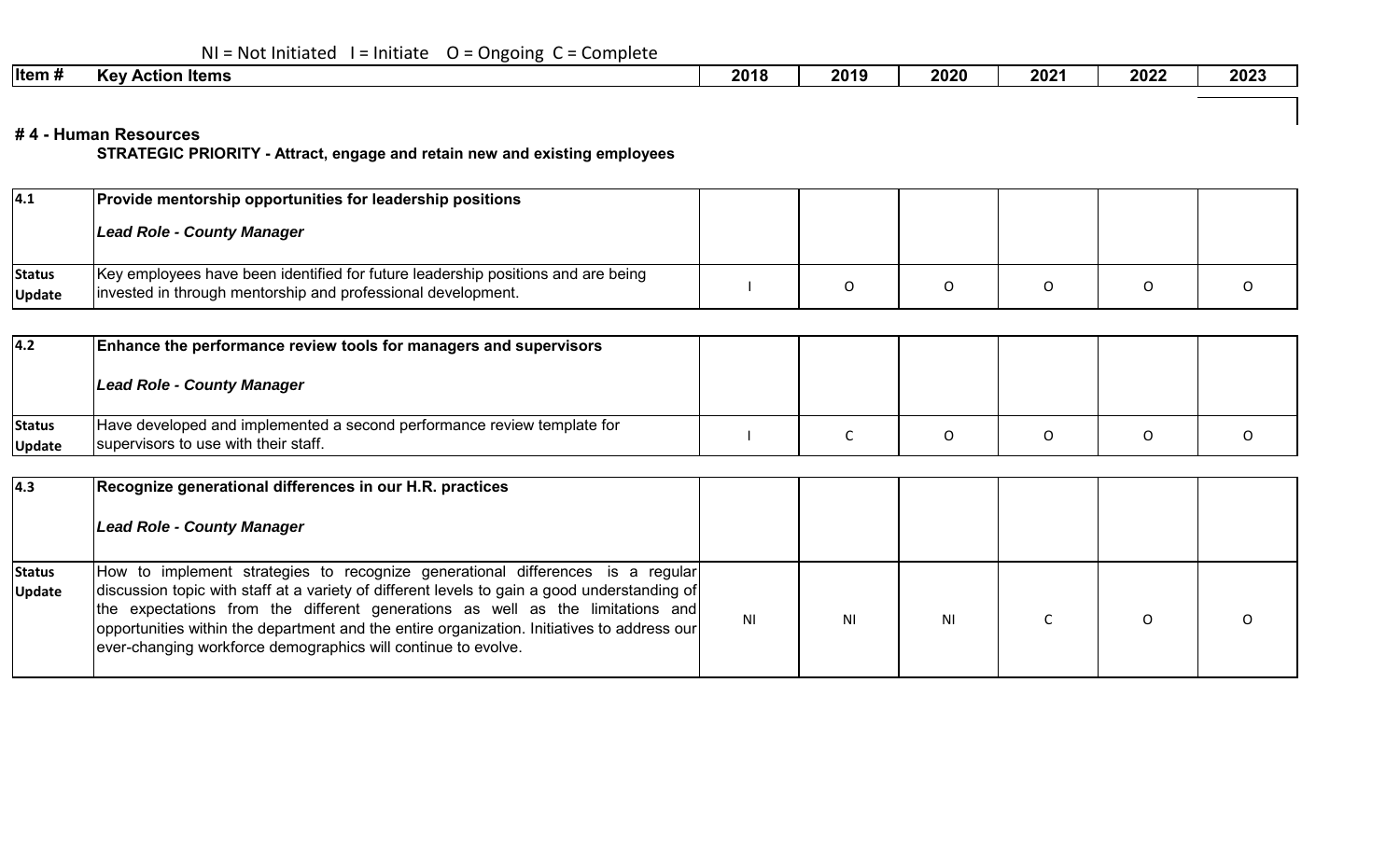| $NI = Not Initialed I = Initialte O = Ongoing C = Complete$ |  |
|-------------------------------------------------------------|--|
|-------------------------------------------------------------|--|

|  | ∣ltem # | - -<br>' Action Items<br><b>Kev</b> | 2018 | 2019 | 2020 | 202' | 2022 | 2023 |
|--|---------|-------------------------------------|------|------|------|------|------|------|
|--|---------|-------------------------------------|------|------|------|------|------|------|

#### **# 4 - Human Resources**

**STRATEGIC PRIORITY - Attract, engage and retain new and existing employees**

| 4.1                     | <b>Provide mentorship opportunities for leadership positions</b>                                                                                 |  |  |  |
|-------------------------|--------------------------------------------------------------------------------------------------------------------------------------------------|--|--|--|
|                         | Lead Role - County Manager                                                                                                                       |  |  |  |
| Status<br><b>Update</b> | Key employees have been identified for future leadership positions and are being<br>invested in through mentorship and professional development. |  |  |  |

| 4.2                     | <b>Enhance the performance review tools for managers and supervisors</b>                                        |  |  |  |
|-------------------------|-----------------------------------------------------------------------------------------------------------------|--|--|--|
|                         | Lead Role - County Manager                                                                                      |  |  |  |
| Status<br><b>Update</b> | Have developed and implemented a second performance review template for<br>supervisors to use with their staff. |  |  |  |

| $\vert 4.3 \vert$              | Recognize generational differences in our H.R. practices<br>Lead Role - County Manager                                                                                                                                                                                                                                                                                                                                           |    |           |  |  |
|--------------------------------|----------------------------------------------------------------------------------------------------------------------------------------------------------------------------------------------------------------------------------------------------------------------------------------------------------------------------------------------------------------------------------------------------------------------------------|----|-----------|--|--|
| <b>Status</b><br><b>Update</b> | How to implement strategies to recognize generational differences is a regular<br>discussion topic with staff at a variety of different levels to gain a good understanding of<br>the expectations from the different generations as well as the limitations and<br>opportunities within the department and the entire organization. Initiatives to address our<br>ever-changing workforce demographics will continue to evolve. | ΝI | <b>NI</b> |  |  |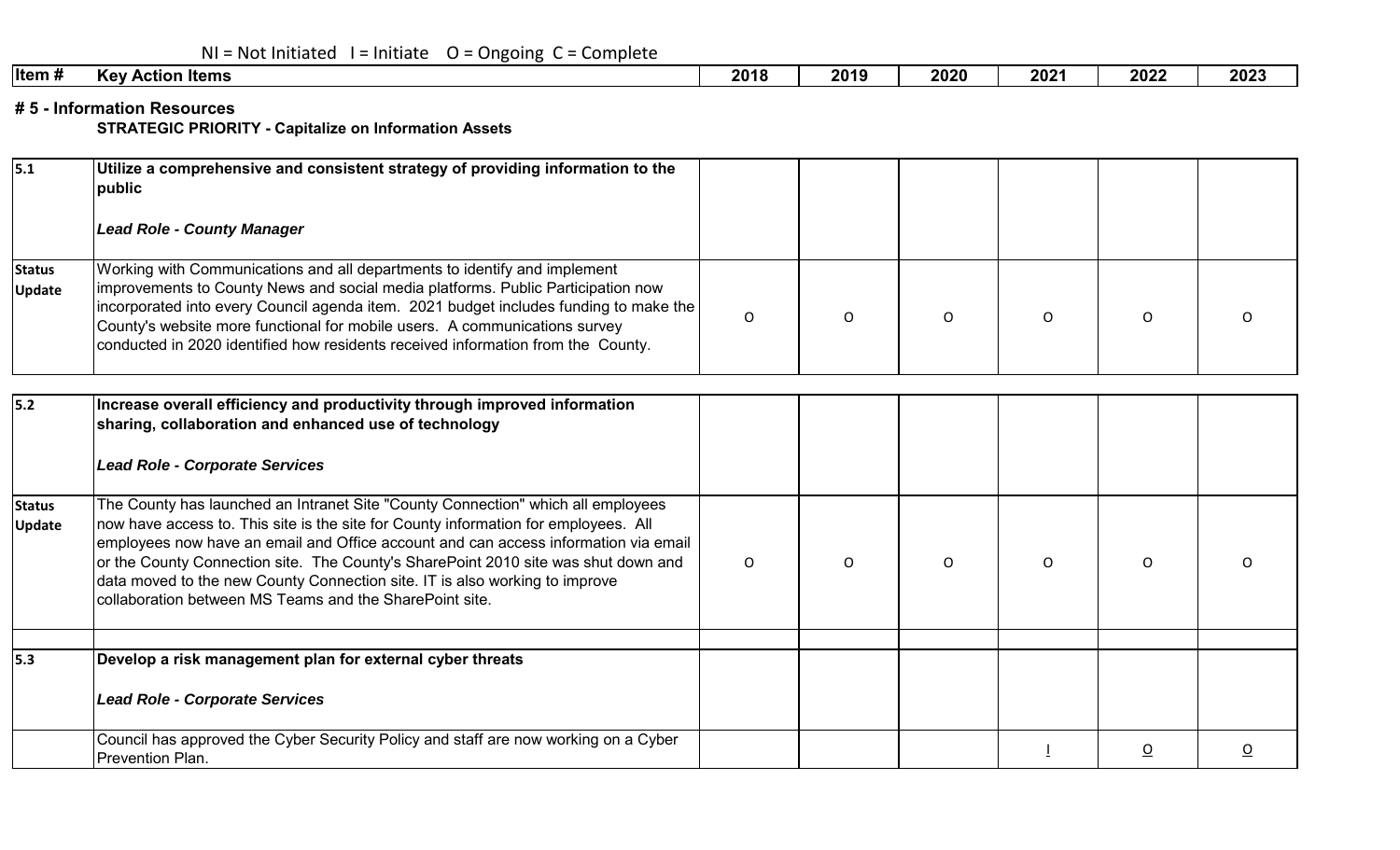| $NI = Not Initialed I = Initialte O = Ongoing C = Complete$ |  |  |  |
|-------------------------------------------------------------|--|--|--|
|-------------------------------------------------------------|--|--|--|

| Item#<br>ı Items<br>. Action∶<br><b>Kev</b> | 2018 | 2019 | 2020 | 202' | 2022 | 2023 |
|---------------------------------------------|------|------|------|------|------|------|
|---------------------------------------------|------|------|------|------|------|------|

**# 5 - Information Resources**

**STRATEGIC PRIORITY - Capitalize on Information Assets**

| 5.1                            | Utilize a comprehensive and consistent strategy of providing information to the<br>public                                                                                                                                                                                                                                                                                                                                                                                                      |              |          |          |          |                |                         |
|--------------------------------|------------------------------------------------------------------------------------------------------------------------------------------------------------------------------------------------------------------------------------------------------------------------------------------------------------------------------------------------------------------------------------------------------------------------------------------------------------------------------------------------|--------------|----------|----------|----------|----------------|-------------------------|
|                                | <b>Lead Role - County Manager</b>                                                                                                                                                                                                                                                                                                                                                                                                                                                              |              |          |          |          |                |                         |
| <b>Status</b><br><b>Update</b> | Working with Communications and all departments to identify and implement<br>improvements to County News and social media platforms. Public Participation now<br>incorporated into every Council agenda item. 2021 budget includes funding to make the<br>County's website more functional for mobile users. A communications survey<br>conducted in 2020 identified how residents received information from the County.                                                                       | $\mathsf{O}$ | $\circ$  | $\circ$  | O        | O              |                         |
| 5.2                            | Increase overall efficiency and productivity through improved information<br>sharing, collaboration and enhanced use of technology                                                                                                                                                                                                                                                                                                                                                             |              |          |          |          |                |                         |
|                                | <b>Lead Role - Corporate Services</b>                                                                                                                                                                                                                                                                                                                                                                                                                                                          |              |          |          |          |                |                         |
| <b>Status</b><br><b>Update</b> | The County has launched an Intranet Site "County Connection" which all employees<br>now have access to. This site is the site for County information for employees. All<br>employees now have an email and Office account and can access information via email<br>or the County Connection site. The County's SharePoint 2010 site was shut down and<br>data moved to the new County Connection site. IT is also working to improve<br>collaboration between MS Teams and the SharePoint site. | $\Omega$     | $\Omega$ | $\Omega$ | $\Omega$ | $\Omega$       |                         |
| 5.3                            |                                                                                                                                                                                                                                                                                                                                                                                                                                                                                                |              |          |          |          |                |                         |
|                                | Develop a risk management plan for external cyber threats<br><b>Lead Role - Corporate Services</b>                                                                                                                                                                                                                                                                                                                                                                                             |              |          |          |          |                |                         |
|                                | Council has approved the Cyber Security Policy and staff are now working on a Cyber<br>Prevention Plan.                                                                                                                                                                                                                                                                                                                                                                                        |              |          |          |          | $\overline{o}$ | $\overline{\mathsf{O}}$ |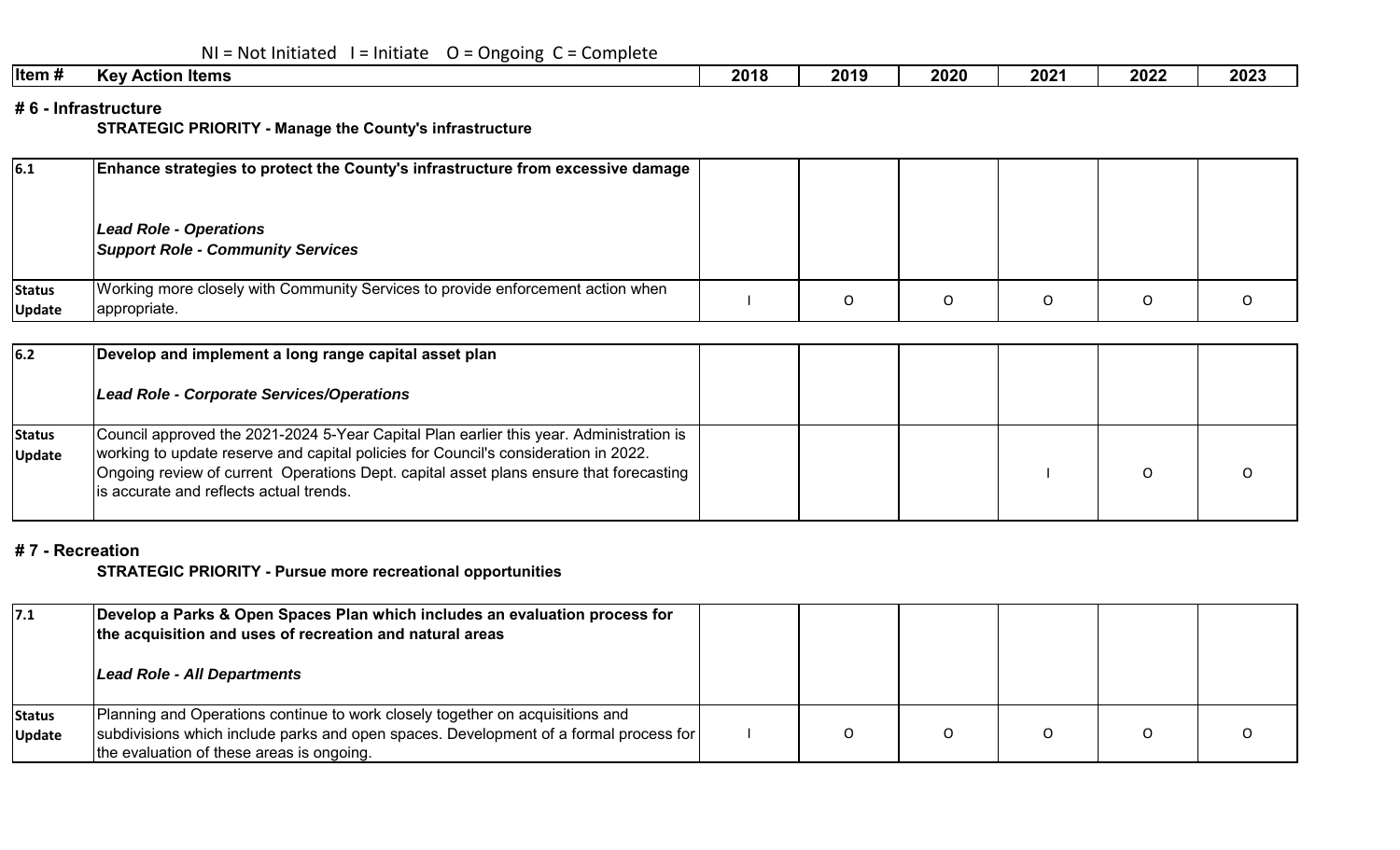|  |  | $NI = Not Initialed I = Initialte O = Ongoing C = Complete$ |
|--|--|-------------------------------------------------------------|
|--|--|-------------------------------------------------------------|

| - -<br>Kev<br>⊦Items<br>Action | 2018 | 2019 | 2020 | 202' | 2022 | 2023 |  |
|--------------------------------|------|------|------|------|------|------|--|
|                                |      |      |      |      |      |      |  |

#### **# 6 - Infrastructure**

**STRATEGIC PRIORITY - Manage the County's infrastructure**

| 6.1                     | Enhance strategies to protect the County's infrastructure from excessive damage<br>Lead Role - Operations<br><b>Support Role - Community Services</b> |  |  |  |
|-------------------------|-------------------------------------------------------------------------------------------------------------------------------------------------------|--|--|--|
| Status<br><b>Update</b> | Working more closely with Community Services to provide enforcement action when<br>appropriate.                                                       |  |  |  |

| 6.2                            | Develop and implement a long range capital asset plan<br>Lead Role - Corporate Services/Operations                                                                                                                                                                                                                   |  |  |  |
|--------------------------------|----------------------------------------------------------------------------------------------------------------------------------------------------------------------------------------------------------------------------------------------------------------------------------------------------------------------|--|--|--|
| <b>Status</b><br><b>Update</b> | Council approved the 2021-2024 5-Year Capital Plan earlier this year. Administration is<br>working to update reserve and capital policies for Council's consideration in 2022.<br>Ongoing review of current Operations Dept. capital asset plans ensure that forecasting<br>lis accurate and reflects actual trends. |  |  |  |

#### **# 7 - Recreation**

**STRATEGIC PRIORITY - Pursue more recreational opportunities** 

| 7.1                            | Develop a Parks & Open Spaces Plan which includes an evaluation process for<br>the acquisition and uses of recreation and natural areas<br>Lead Role - All Departments                                              |  |  |  |
|--------------------------------|---------------------------------------------------------------------------------------------------------------------------------------------------------------------------------------------------------------------|--|--|--|
| <b>Status</b><br><b>Update</b> | Planning and Operations continue to work closely together on acquisitions and<br>subdivisions which include parks and open spaces. Development of a formal process for<br>the evaluation of these areas is ongoing. |  |  |  |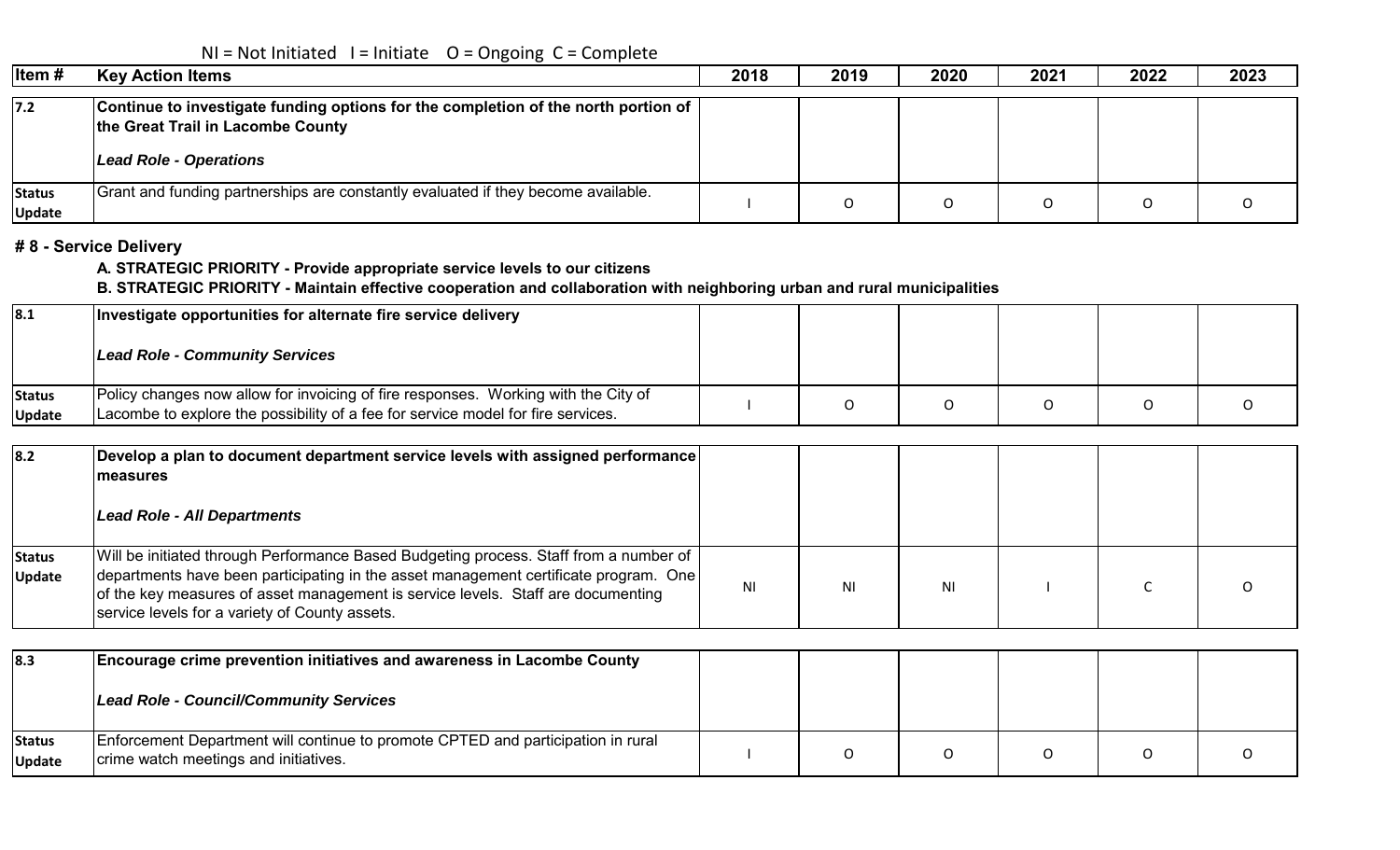# $NI = Not Initialed I = Initiative O = Ongoing C = Complete$

| Item#                   | <b>Key Action Items</b>                                                                                                                                  | 2018 | 2019 | 2020 | 2021 | 2022 | 2023 |
|-------------------------|----------------------------------------------------------------------------------------------------------------------------------------------------------|------|------|------|------|------|------|
| $7.2$                   | Continue to investigate funding options for the completion of the north portion of<br>the Great Trail in Lacombe County<br><b>Lead Role - Operations</b> |      |      |      |      |      |      |
| Status<br><b>Update</b> | Grant and funding partnerships are constantly evaluated if they become available.                                                                        |      |      |      |      |      |      |

### **# 8 - Service Delivery**

**A. STRATEGIC PRIORITY - Provide appropriate service levels to our citizens**

### **B. STRATEGIC PRIORITY - Maintain effective cooperation and collaboration with neighboring urban and rural municipalities**

| 8.1                     | Investigate opportunities for alternate fire service delivery                                                                                                          |  |  |  |
|-------------------------|------------------------------------------------------------------------------------------------------------------------------------------------------------------------|--|--|--|
|                         | <b>Lead Role - Community Services</b>                                                                                                                                  |  |  |  |
| <b>Status</b><br>Update | Policy changes now allow for invoicing of fire responses. Working with the City of<br>Lacombe to explore the possibility of a fee for service model for fire services. |  |  |  |

| 8.2                            | [Develop a plan to document department service levels with assigned performance]<br><b>Imeasures</b><br>Lead Role - All Departments                                                                                                                                                                                   |    |    |    |  |  |
|--------------------------------|-----------------------------------------------------------------------------------------------------------------------------------------------------------------------------------------------------------------------------------------------------------------------------------------------------------------------|----|----|----|--|--|
| <b>Status</b><br><b>Update</b> | Will be initiated through Performance Based Budgeting process. Staff from a number of  <br>departments have been participating in the asset management certificate program. One<br>of the key measures of asset management is service levels. Staff are documenting<br>service levels for a variety of County assets. | ΝI | ΝI | ΝI |  |  |

| 8.3                     | <b>Encourage crime prevention initiatives and awareness in Lacombe County</b>                                             |  |  |  |
|-------------------------|---------------------------------------------------------------------------------------------------------------------------|--|--|--|
|                         | Lead Role - Council/Community Services                                                                                    |  |  |  |
| Status<br><b>Update</b> | Enforcement Department will continue to promote CPTED and participation in rural<br>crime watch meetings and initiatives. |  |  |  |